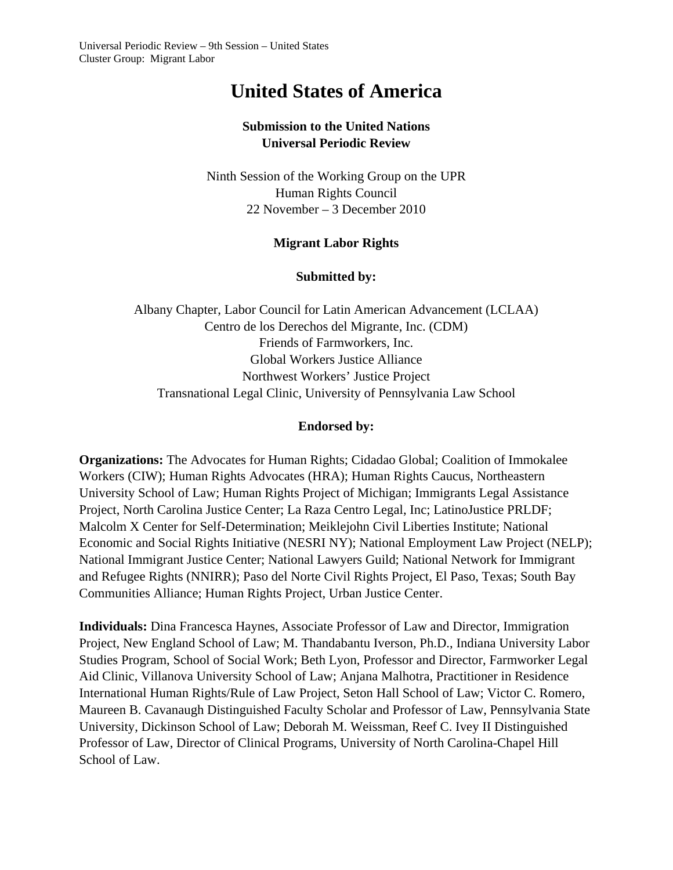# **United States of America**

# **Submission to the United Nations Universal Periodic Review**

Ninth Session of the Working Group on the UPR Human Rights Council 22 November – 3 December 2010

# **Migrant Labor Rights**

# **Submitted by:**

Albany Chapter, Labor Council for Latin American Advancement (LCLAA) Centro de los Derechos del Migrante, Inc. (CDM) Friends of Farmworkers, Inc. Global Workers Justice Alliance Northwest Workers' Justice Project Transnational Legal Clinic, University of Pennsylvania Law School

#### **Endorsed by:**

**Organizations:** The Advocates for Human Rights; Cidadao Global; Coalition of Immokalee Workers (CIW); Human Rights Advocates (HRA); Human Rights Caucus, Northeastern University School of Law; Human Rights Project of Michigan; Immigrants Legal Assistance Project, North Carolina Justice Center; La Raza Centro Legal, Inc; LatinoJustice PRLDF; Malcolm X Center for Self-Determination; Meiklejohn Civil Liberties Institute; National Economic and Social Rights Initiative (NESRI NY); National Employment Law Project (NELP); National Immigrant Justice Center; National Lawyers Guild; National Network for Immigrant and Refugee Rights (NNIRR); Paso del Norte Civil Rights Project, El Paso, Texas; South Bay Communities Alliance; Human Rights Project, Urban Justice Center.

**Individuals:** Dina Francesca Haynes, Associate Professor of Law and Director, Immigration Project, New England School of Law; M. Thandabantu Iverson, Ph.D., Indiana University Labor Studies Program, School of Social Work; Beth Lyon, Professor and Director, Farmworker Legal Aid Clinic, Villanova University School of Law; Anjana Malhotra, Practitioner in Residence International Human Rights/Rule of Law Project, Seton Hall School of Law; Victor C. Romero, Maureen B. Cavanaugh Distinguished Faculty Scholar and Professor of Law, Pennsylvania State University, Dickinson School of Law; Deborah M. Weissman, Reef C. Ivey II Distinguished Professor of Law, Director of Clinical Programs, University of North Carolina-Chapel Hill School of Law.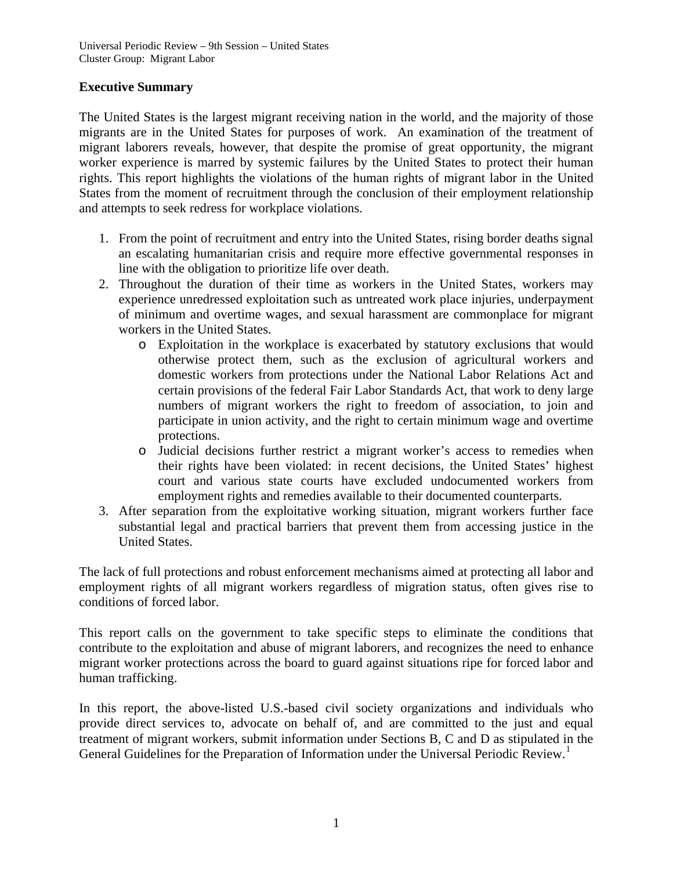# **Executive Summary**

The United States is the largest migrant receiving nation in the world, and the majority of those migrants are in the United States for purposes of work. An examination of the treatment of migrant laborers reveals, however, that despite the promise of great opportunity, the migrant worker experience is marred by systemic failures by the United States to protect their human rights. This report highlights the violations of the human rights of migrant labor in the United States from the moment of recruitment through the conclusion of their employment relationship and attempts to seek redress for workplace violations.

- 1. From the point of recruitment and entry into the United States, rising border deaths signal an escalating humanitarian crisis and require more effective governmental responses in line with the obligation to prioritize life over death.
- 2. Throughout the duration of their time as workers in the United States, workers may experience unredressed exploitation such as untreated work place injuries, underpayment of minimum and overtime wages, and sexual harassment are commonplace for migrant workers in the United States.
	- o Exploitation in the workplace is exacerbated by statutory exclusions that would otherwise protect them, such as the exclusion of agricultural workers and domestic workers from protections under the National Labor Relations Act and certain provisions of the federal Fair Labor Standards Act, that work to deny large numbers of migrant workers the right to freedom of association, to join and participate in union activity, and the right to certain minimum wage and overtime protections.
	- o Judicial decisions further restrict a migrant worker's access to remedies when their rights have been violated: in recent decisions, the United States' highest court and various state courts have excluded undocumented workers from employment rights and remedies available to their documented counterparts.
- 3. After separation from the exploitative working situation, migrant workers further face substantial legal and practical barriers that prevent them from accessing justice in the United States.

The lack of full protections and robust enforcement mechanisms aimed at protecting all labor and employment rights of all migrant workers regardless of migration status, often gives rise to conditions of forced labor.

This report calls on the government to take specific steps to eliminate the conditions that contribute to the exploitation and abuse of migrant laborers, and recognizes the need to enhance migrant worker protections across the board to guard against situations ripe for forced labor and human trafficking.

In this report, the above-listed U.S.-based civil society organizations and individuals who provide direct services to, advocate on behalf of, and are committed to the just and equal treatment of migrant workers, submit information under Sections B, C and D as stipulated in the General Guidelines for the Preparation of Information under the Universal Periodic Review.<sup>[1](#page-11-0)</sup>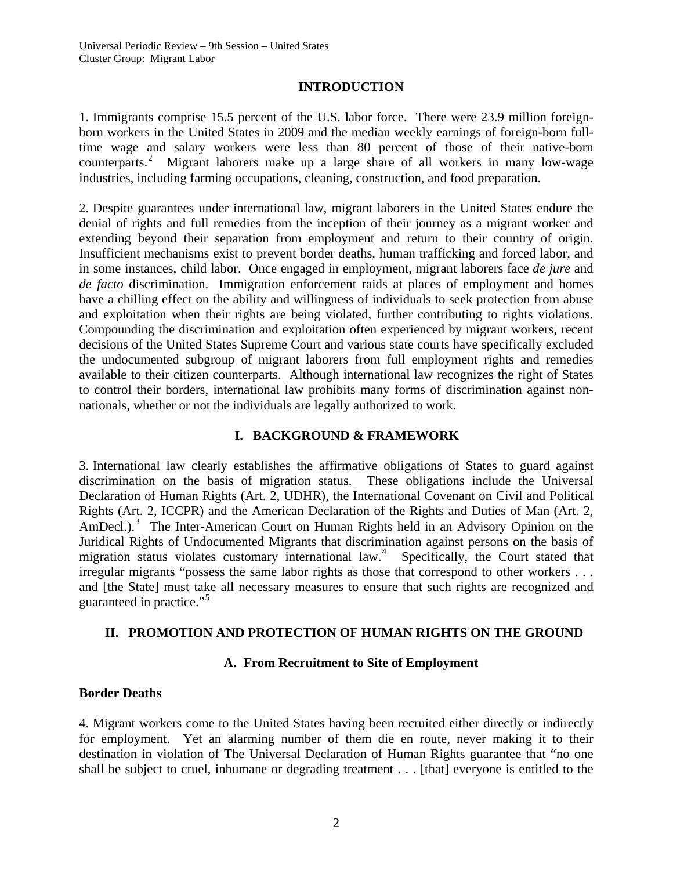#### **INTRODUCTION**

1. Immigrants comprise 15.5 percent of the U.S. labor force. There were 23.9 million foreignborn workers in the United States in 2009 and the median weekly earnings of foreign-born fulltime wage and salary workers were less than 80 percent of those of their native-born counterparts.<sup>[2](#page-11-1)</sup> Migrant laborers make up a large share of all workers in many low-wage industries, including farming occupations, cleaning, construction, and food preparation.

2. Despite guarantees under international law, migrant laborers in the United States endure the denial of rights and full remedies from the inception of their journey as a migrant worker and extending beyond their separation from employment and return to their country of origin. Insufficient mechanisms exist to prevent border deaths, human trafficking and forced labor, and in some instances, child labor. Once engaged in employment, migrant laborers face *de jure* and *de facto* discrimination. Immigration enforcement raids at places of employment and homes have a chilling effect on the ability and willingness of individuals to seek protection from abuse and exploitation when their rights are being violated, further contributing to rights violations. Compounding the discrimination and exploitation often experienced by migrant workers, recent decisions of the United States Supreme Court and various state courts have specifically excluded the undocumented subgroup of migrant laborers from full employment rights and remedies available to their citizen counterparts. Although international law recognizes the right of States to control their borders, international law prohibits many forms of discrimination against nonnationals, whether or not the individuals are legally authorized to work.

# **I. BACKGROUND & FRAMEWORK**

3. International law clearly establishes the affirmative obligations of States to guard against discrimination on the basis of migration status. These obligations include the Universal Declaration of Human Rights (Art. 2, UDHR), the International Covenant on Civil and Political Rights (Art. 2, ICCPR) and the American Declaration of the Rights and Duties of Man (Art. 2, AmDecl.).<sup>[3](#page-11-1)</sup> The Inter-American Court on Human Rights held in an Advisory Opinion on the Juridical Rights of Undocumented Migrants that discrimination against persons on the basis of migration status violates customary international law.<sup>[4](#page-11-1)</sup> Specifically, the Court stated that irregular migrants "possess the same labor rights as those that correspond to other workers . . . and [the State] must take all necessary measures to ensure that such rights are recognized and guaranteed in practice."[5](#page-11-1)

# **II. PROMOTION AND PROTECTION OF HUMAN RIGHTS ON THE GROUND**

# **A. From Recruitment to Site of Employment**

#### **Border Deaths**

4. Migrant workers come to the United States having been recruited either directly or indirectly for employment. Yet an alarming number of them die en route, never making it to their destination in violation of The Universal Declaration of Human Rights guarantee that "no one shall be subject to cruel, inhumane or degrading treatment . . . [that] everyone is entitled to the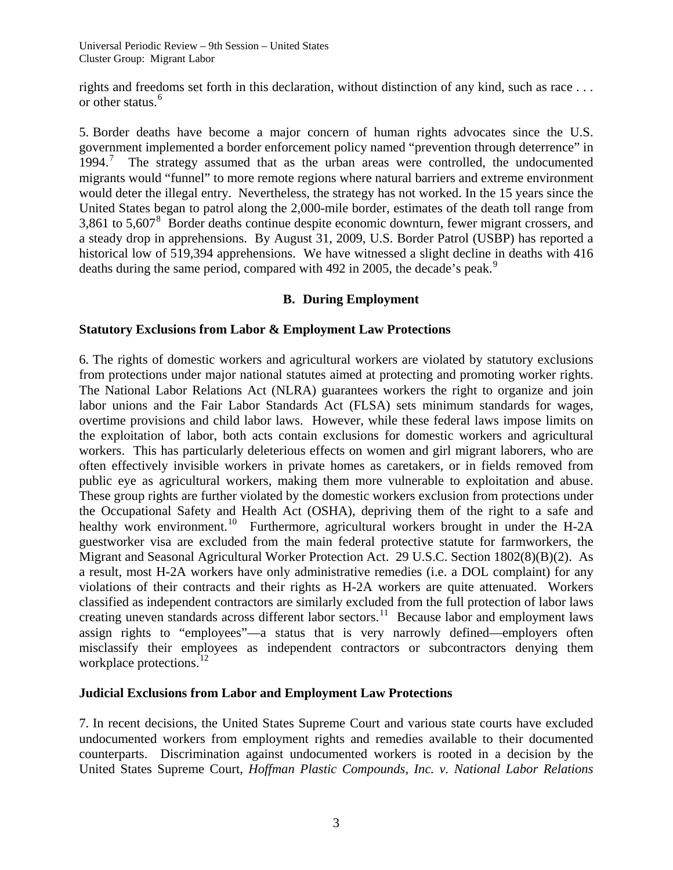Universal Periodic Review – 9th Session – United States Cluster Group: Migrant Labor

rights and freedoms set forth in this declaration, without distinction of any kind, such as race . . . or other status.<sup>6</sup>

5. Border deaths have become a major concern of human rights advocates since the U.S. government implemented a border enforcement policy named "prevention through deterrence" in 1994.[7](#page-11-1) The strategy assumed that as the urban areas were controlled, the undocumented migrants would "funnel" to more remote regions where natural barriers and extreme environment would deter the illegal entry. Nevertheless, the strategy has not worked. In the 15 years since the United States began to patrol along the 2,000-mile border, estimates of the death toll range from 3,861 to 5,607[8](#page-11-1) Border deaths continue despite economic downturn, fewer migrant crossers, and a steady drop in apprehensions. By August 31, 2009, U.S. Border Patrol (USBP) has reported a historical low of 519,394 apprehensions. We have witnessed a slight decline in deaths with 416 deaths during the same period, compared with 4[9](#page-11-1)2 in 2005, the decade's peak.<sup>9</sup>

# **B. During Employment**

#### **Statutory Exclusions from Labor & Employment Law Protections**

6. The rights of domestic workers and agricultural workers are violated by statutory exclusions from protections under major national statutes aimed at protecting and promoting worker rights. The National Labor Relations Act (NLRA) guarantees workers the right to organize and join labor unions and the Fair Labor Standards Act (FLSA) sets minimum standards for wages, overtime provisions and child labor laws. However, while these federal laws impose limits on the exploitation of labor, both acts contain exclusions for domestic workers and agricultural workers. This has particularly deleterious effects on women and girl migrant laborers, who are often effectively invisible workers in private homes as caretakers, or in fields removed from public eye as agricultural workers, making them more vulnerable to exploitation and abuse. These group rights are further violated by the domestic workers exclusion from protections under the Occupational Safety and Health Act (OSHA), depriving them of the right to a safe and healthy work environment.<sup>[10](#page-11-1)</sup> Furthermore, agricultural workers brought in under the H-2A guestworker visa are excluded from the main federal protective statute for farmworkers, the Migrant and Seasonal Agricultural Worker Protection Act. 29 U.S.C. Section 1802(8)(B)(2). As a result, most H-2A workers have only administrative remedies (i.e. a DOL complaint) for any violations of their contracts and their rights as H-2A workers are quite attenuated. Workers classified as independent contractors are similarly excluded from the full protection of labor laws creating uneven standards across different labor sectors.<sup>[11](#page-11-1)</sup> Because labor and employment laws assign rights to "employees"—a status that is very narrowly defined—employers often misclassify their employees as independent contractors or subcontractors denying them workplace protections.<sup>[12](#page-11-1)</sup>

#### **Judicial Exclusions from Labor and Employment Law Protections**

7. In recent decisions, the United States Supreme Court and various state courts have excluded undocumented workers from employment rights and remedies available to their documented counterparts. Discrimination against undocumented workers is rooted in a decision by the United States Supreme Court, *Hoffman Plastic Compounds, Inc. v. National Labor Relations*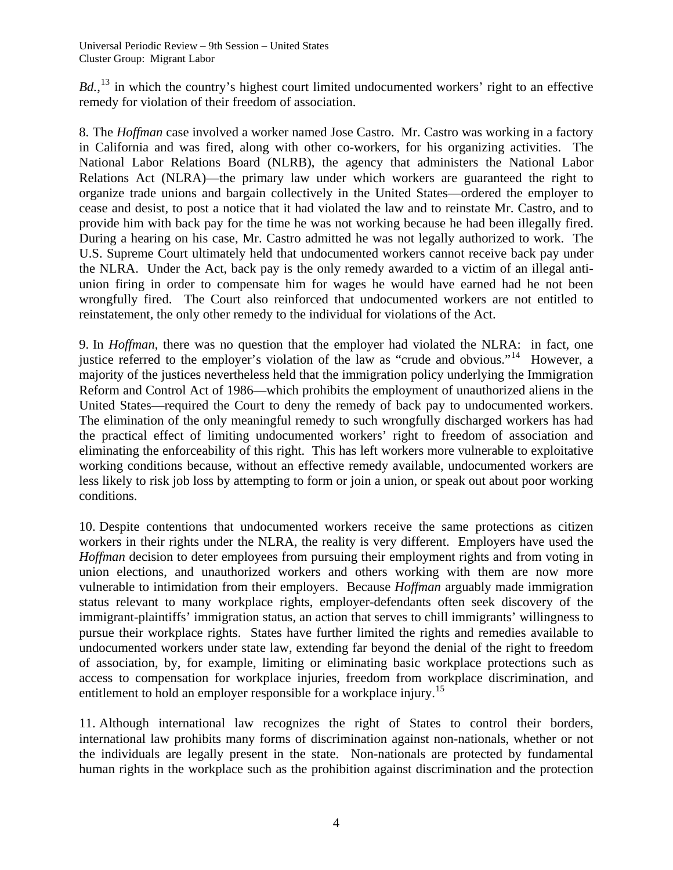Universal Periodic Review – 9th Session – United States Cluster Group: Migrant Labor

Bd.,<sup>13</sup> in which the country's highest court limited undocumented workers' right to an effective remedy for violation of their freedom of association.

8. The *Hoffman* case involved a worker named Jose Castro. Mr. Castro was working in a factory in California and was fired, along with other co-workers, for his organizing activities. The National Labor Relations Board (NLRB), the agency that administers the National Labor Relations Act (NLRA)—the primary law under which workers are guaranteed the right to organize trade unions and bargain collectively in the United States—ordered the employer to cease and desist, to post a notice that it had violated the law and to reinstate Mr. Castro, and to provide him with back pay for the time he was not working because he had been illegally fired. During a hearing on his case, Mr. Castro admitted he was not legally authorized to work. The U.S. Supreme Court ultimately held that undocumented workers cannot receive back pay under the NLRA. Under the Act, back pay is the only remedy awarded to a victim of an illegal antiunion firing in order to compensate him for wages he would have earned had he not been wrongfully fired. The Court also reinforced that undocumented workers are not entitled to reinstatement, the only other remedy to the individual for violations of the Act.

9. In *Hoffman*, there was no question that the employer had violated the NLRA: in fact, one justice referred to the employer's violation of the law as "crude and obvious."<sup>[14](#page-11-1)</sup> However, a majority of the justices nevertheless held that the immigration policy underlying the Immigration Reform and Control Act of 1986—which prohibits the employment of unauthorized aliens in the United States—required the Court to deny the remedy of back pay to undocumented workers. The elimination of the only meaningful remedy to such wrongfully discharged workers has had the practical effect of limiting undocumented workers' right to freedom of association and eliminating the enforceability of this right. This has left workers more vulnerable to exploitative working conditions because, without an effective remedy available, undocumented workers are less likely to risk job loss by attempting to form or join a union, or speak out about poor working conditions.

10. Despite contentions that undocumented workers receive the same protections as citizen workers in their rights under the NLRA, the reality is very different. Employers have used the *Hoffman* decision to deter employees from pursuing their employment rights and from voting in union elections, and unauthorized workers and others working with them are now more vulnerable to intimidation from their employers. Because *Hoffman* arguably made immigration status relevant to many workplace rights, employer-defendants often seek discovery of the immigrant-plaintiffs' immigration status, an action that serves to chill immigrants' willingness to pursue their workplace rights. States have further limited the rights and remedies available to undocumented workers under state law, extending far beyond the denial of the right to freedom of association, by, for example, limiting or eliminating basic workplace protections such as access to compensation for workplace injuries, freedom from workplace discrimination, and entitlement to hold an employer responsible for a workplace injury.<sup>[15](#page-11-1)</sup>

11. Although international law recognizes the right of States to control their borders, international law prohibits many forms of discrimination against non-nationals, whether or not the individuals are legally present in the state. Non-nationals are protected by fundamental human rights in the workplace such as the prohibition against discrimination and the protection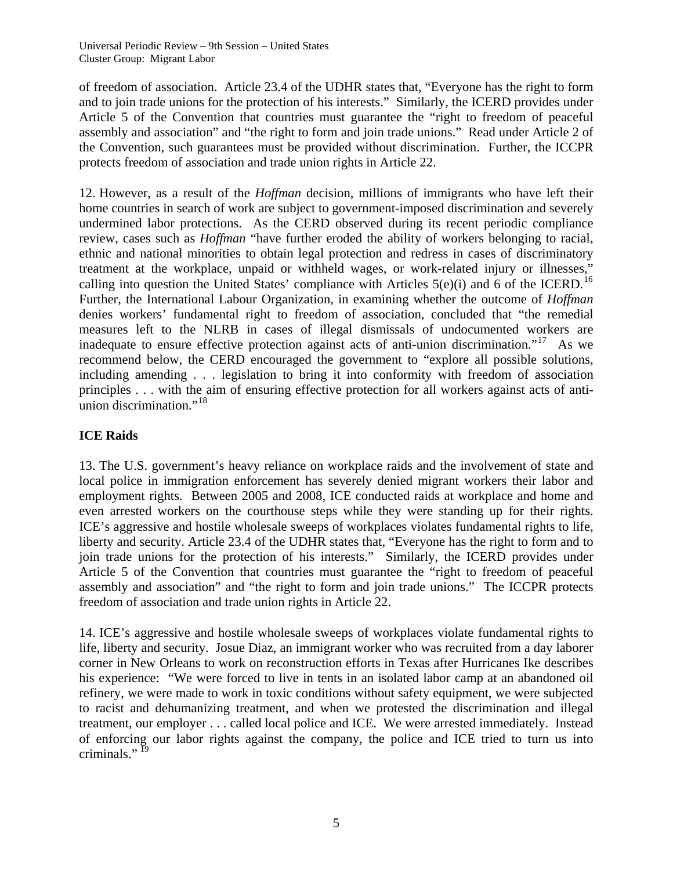of freedom of association. Article 23.4 of the UDHR states that, "Everyone has the right to form and to join trade unions for the protection of his interests." Similarly, the ICERD provides under Article 5 of the Convention that countries must guarantee the "right to freedom of peaceful assembly and association" and "the right to form and join trade unions." Read under Article 2 of the Convention, such guarantees must be provided without discrimination. Further, the ICCPR protects freedom of association and trade union rights in Article 22.

12. However, as a result of the *Hoffman* decision, millions of immigrants who have left their home countries in search of work are subject to government-imposed discrimination and severely undermined labor protections. As the CERD observed during its recent periodic compliance review, cases such as *Hoffman* "have further eroded the ability of workers belonging to racial, ethnic and national minorities to obtain legal protection and redress in cases of discriminatory treatment at the workplace, unpaid or withheld wages, or work-related injury or illnesses," calling into question the United States' compliance with Articles  $5(e)(i)$  and 6 of the ICERD.<sup>[16](#page-12-0)</sup> Further, the International Labour Organization, in examining whether the outcome of *Hoffman*  denies workers' fundamental right to freedom of association, concluded that "the remedial measures left to the NLRB in cases of illegal dismissals of undocumented workers are inadequate to ensure effective protection against acts of anti-union discrimination."<sup>[17](#page-12-0)</sup> As we recommend below, the CERD encouraged the government to "explore all possible solutions, including amending . . . legislation to bring it into conformity with freedom of association principles . . . with the aim of ensuring effective protection for all workers against acts of anti-union discrimination."<sup>[18](#page-12-0)</sup>

# **ICE Raids**

13. The U.S. government's heavy reliance on workplace raids and the involvement of state and local police in immigration enforcement has severely denied migrant workers their labor and employment rights. Between 2005 and 2008, ICE conducted raids at workplace and home and even arrested workers on the courthouse steps while they were standing up for their rights. ICE's aggressive and hostile wholesale sweeps of workplaces violates fundamental rights to life, liberty and security. Article 23.4 of the UDHR states that, "Everyone has the right to form and to join trade unions for the protection of his interests." Similarly, the ICERD provides under Article 5 of the Convention that countries must guarantee the "right to freedom of peaceful assembly and association" and "the right to form and join trade unions." The ICCPR protects freedom of association and trade union rights in Article 22.

14. ICE's aggressive and hostile wholesale sweeps of workplaces violate fundamental rights to life, liberty and security. Josue Diaz, an immigrant worker who was recruited from a day laborer corner in New Orleans to work on reconstruction efforts in Texas after Hurricanes Ike describes his experience: "We were forced to live in tents in an isolated labor camp at an abandoned oil refinery, we were made to work in toxic conditions without safety equipment, we were subjected to racist and dehumanizing treatment, and when we protested the discrimination and illegal treatment, our employer . . . called local police and ICE. We were arrested immediately. Instead of enforcing our labor rights against the company, the police and ICE tried to turn us into criminals."<sup>[19](#page-12-0)</sup>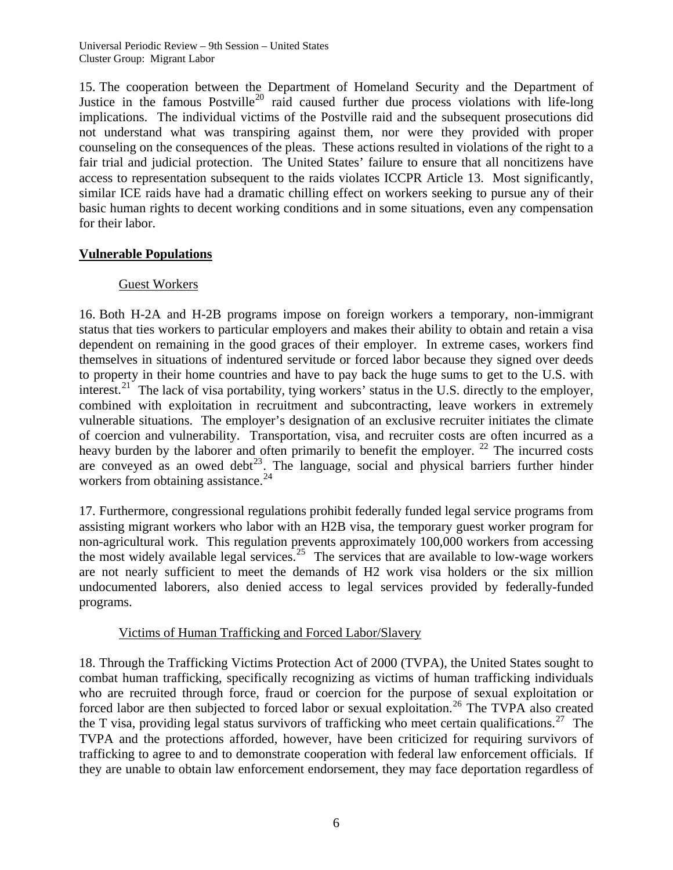Universal Periodic Review – 9th Session – United States Cluster Group: Migrant Labor

15. The cooperation between the Department of Homeland Security and the Department of Justice in the famous Postville<sup>[20](#page-12-0)</sup> raid caused further due process violations with life-long implications. The individual victims of the Postville raid and the subsequent prosecutions did not understand what was transpiring against them, nor were they provided with proper counseling on the consequences of the pleas. These actions resulted in violations of the right to a fair trial and judicial protection. The United States' failure to ensure that all noncitizens have access to representation subsequent to the raids violates ICCPR Article 13. Most significantly, similar ICE raids have had a dramatic chilling effect on workers seeking to pursue any of their basic human rights to decent working conditions and in some situations, even any compensation for their labor.

# **Vulnerable Populations**

# Guest Workers

16. Both H-2A and H-2B programs impose on foreign workers a temporary, non-immigrant status that ties workers to particular employers and makes their ability to obtain and retain a visa dependent on remaining in the good graces of their employer. In extreme cases, workers find themselves in situations of indentured servitude or forced labor because they signed over deeds to property in their home countries and have to pay back the huge sums to get to the U.S. with interest.<sup>[21](#page-12-0)</sup> The lack of visa portability, tying workers' status in the U.S. directly to the employer, combined with exploitation in recruitment and subcontracting, leave workers in extremely vulnerable situations. The employer's designation of an exclusive recruiter initiates the climate of coercion and vulnerability. Transportation, visa, and recruiter costs are often incurred as a heavy burden by the laborer and often primarily to benefit the employer.  $22$  The incurred costs are conveyed as an owed  $debt^{23}$  $debt^{23}$  $debt^{23}$ . The language, social and physical barriers further hinder workers from obtaining assistance. $^{24}$  $^{24}$  $^{24}$ 

17. Furthermore, congressional regulations prohibit federally funded legal service programs from assisting migrant workers who labor with an H2B visa, the temporary guest worker program for non-agricultural work. This regulation prevents approximately 100,000 workers from accessing the most widely available legal services.<sup>[25](#page-12-0)</sup> The services that are available to low-wage workers are not nearly sufficient to meet the demands of H2 work visa holders or the six million undocumented laborers, also denied access to legal services provided by federally-funded programs.

# Victims of Human Trafficking and Forced Labor/Slavery

18. Through the Trafficking Victims Protection Act of 2000 (TVPA), the United States sought to combat human trafficking, specifically recognizing as victims of human trafficking individuals who are recruited through force, fraud or coercion for the purpose of sexual exploitation or forced labor are then subjected to forced labor or sexual exploitation.<sup>[26](#page-12-0)</sup> The TVPA also created the T visa, providing legal status survivors of trafficking who meet certain qualifications.<sup>[27](#page-12-0)</sup> The TVPA and the protections afforded, however, have been criticized for requiring survivors of trafficking to agree to and to demonstrate cooperation with federal law enforcement officials. If they are unable to obtain law enforcement endorsement, they may face deportation regardless of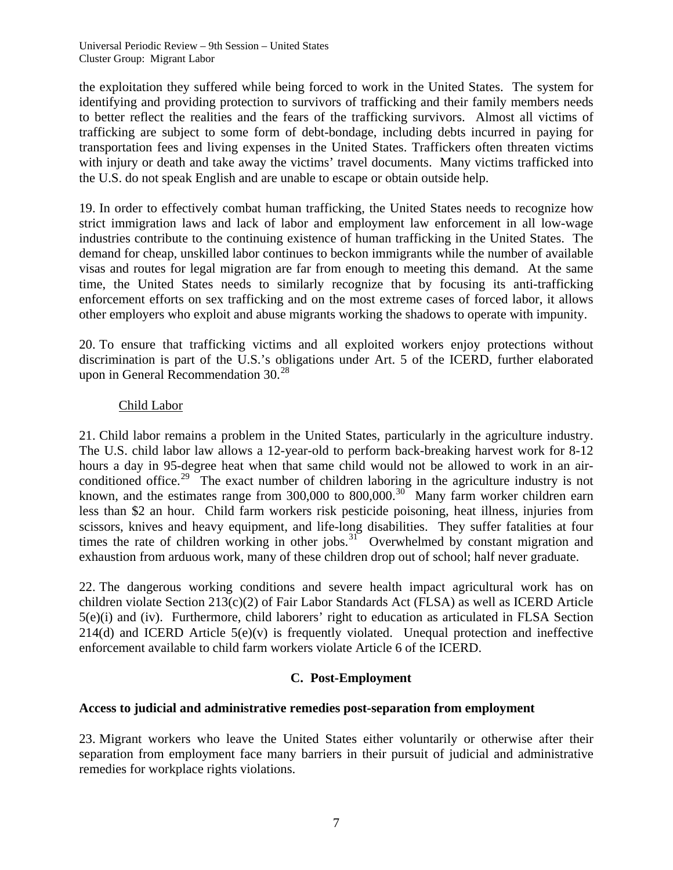the exploitation they suffered while being forced to work in the United States. The system for identifying and providing protection to survivors of trafficking and their family members needs to better reflect the realities and the fears of the trafficking survivors. Almost all victims of trafficking are subject to some form of debt-bondage, including debts incurred in paying for transportation fees and living expenses in the United States. Traffickers often threaten victims with injury or death and take away the victims' travel documents. Many victims trafficked into the U.S. do not speak English and are unable to escape or obtain outside help.

19. In order to effectively combat human trafficking, the United States needs to recognize how strict immigration laws and lack of labor and employment law enforcement in all low-wage industries contribute to the continuing existence of human trafficking in the United States. The demand for cheap, unskilled labor continues to beckon immigrants while the number of available visas and routes for legal migration are far from enough to meeting this demand. At the same time, the United States needs to similarly recognize that by focusing its anti-trafficking enforcement efforts on sex trafficking and on the most extreme cases of forced labor, it allows other employers who exploit and abuse migrants working the shadows to operate with impunity.

20. To ensure that trafficking victims and all exploited workers enjoy protections without discrimination is part of the U.S.'s obligations under Art. 5 of the ICERD, further elaborated upon in General Recommendation 30.<sup>[28](#page-12-0)</sup>

# Child Labor

21. Child labor remains a problem in the United States, particularly in the agriculture industry. The U.S. child labor law allows a 12-year-old to perform back-breaking harvest work for 8-12 hours a day in 95-degree heat when that same child would not be allowed to work in an air-conditioned office.<sup>[29](#page-12-0)</sup> The exact number of children laboring in the agriculture industry is not known, and the estimates range from  $300,000$  $300,000$  to  $800,000$ .<sup>30</sup> Many farm worker children earn less than \$2 an hour. Child farm workers risk pesticide poisoning, heat illness, injuries from scissors, knives and heavy equipment, and life-long disabilities. They suffer fatalities at four times the rate of children working in other jobs.<sup>[31](#page-12-0)</sup> Overwhelmed by constant migration and exhaustion from arduous work, many of these children drop out of school; half never graduate.

22. The dangerous working conditions and severe health impact agricultural work has on children violate Section  $213(c)(2)$  of Fair Labor Standards Act (FLSA) as well as ICERD Article 5(e)(i) and (iv). Furthermore, child laborers' right to education as articulated in FLSA Section  $214(d)$  and ICERD Article  $5(e)(v)$  is frequently violated. Unequal protection and ineffective enforcement available to child farm workers violate Article 6 of the ICERD.

# **C. Post-Employment**

# **Access to judicial and administrative remedies post-separation from employment**

23. Migrant workers who leave the United States either voluntarily or otherwise after their separation from employment face many barriers in their pursuit of judicial and administrative remedies for workplace rights violations.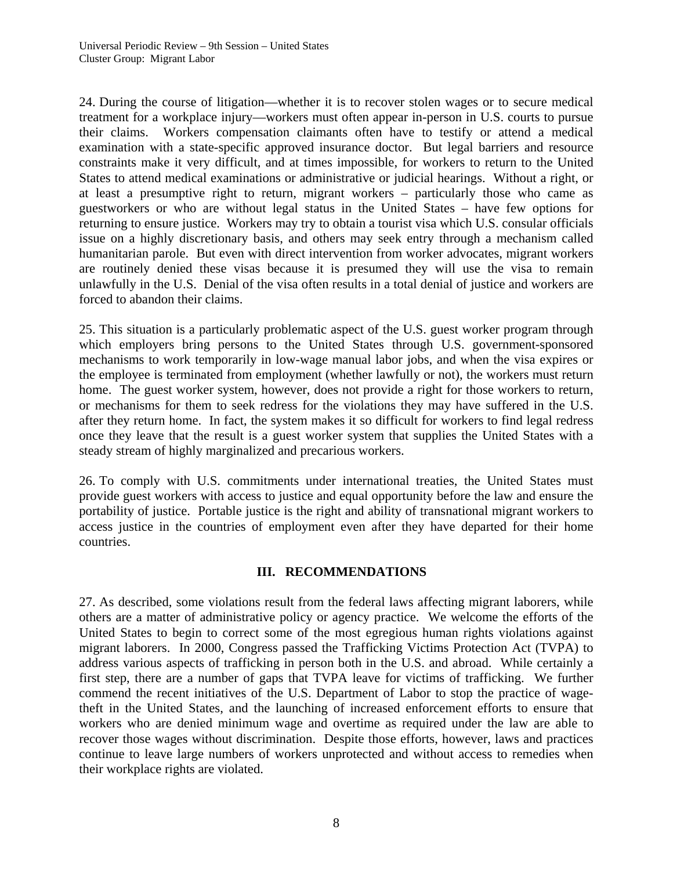24. During the course of litigation—whether it is to recover stolen wages or to secure medical treatment for a workplace injury—workers must often appear in-person in U.S. courts to pursue their claims. Workers compensation claimants often have to testify or attend a medical examination with a state-specific approved insurance doctor. But legal barriers and resource constraints make it very difficult, and at times impossible, for workers to return to the United States to attend medical examinations or administrative or judicial hearings. Without a right, or at least a presumptive right to return, migrant workers – particularly those who came as guestworkers or who are without legal status in the United States – have few options for returning to ensure justice. Workers may try to obtain a tourist visa which U.S. consular officials issue on a highly discretionary basis, and others may seek entry through a mechanism called humanitarian parole. But even with direct intervention from worker advocates, migrant workers are routinely denied these visas because it is presumed they will use the visa to remain unlawfully in the U.S. Denial of the visa often results in a total denial of justice and workers are forced to abandon their claims.

25. This situation is a particularly problematic aspect of the U.S. guest worker program through which employers bring persons to the United States through U.S. government-sponsored mechanisms to work temporarily in low-wage manual labor jobs, and when the visa expires or the employee is terminated from employment (whether lawfully or not), the workers must return home. The guest worker system, however, does not provide a right for those workers to return, or mechanisms for them to seek redress for the violations they may have suffered in the U.S. after they return home. In fact, the system makes it so difficult for workers to find legal redress once they leave that the result is a guest worker system that supplies the United States with a steady stream of highly marginalized and precarious workers.

26. To comply with U.S. commitments under international treaties, the United States must provide guest workers with access to justice and equal opportunity before the law and ensure the portability of justice. Portable justice is the right and ability of transnational migrant workers to access justice in the countries of employment even after they have departed for their home countries.

# **III. RECOMMENDATIONS**

27. As described, some violations result from the federal laws affecting migrant laborers, while others are a matter of administrative policy or agency practice. We welcome the efforts of the United States to begin to correct some of the most egregious human rights violations against migrant laborers. In 2000, Congress passed the Trafficking Victims Protection Act (TVPA) to address various aspects of trafficking in person both in the U.S. and abroad. While certainly a first step, there are a number of gaps that TVPA leave for victims of trafficking. We further commend the recent initiatives of the U.S. Department of Labor to stop the practice of wagetheft in the United States, and the launching of increased enforcement efforts to ensure that workers who are denied minimum wage and overtime as required under the law are able to recover those wages without discrimination. Despite those efforts, however, laws and practices continue to leave large numbers of workers unprotected and without access to remedies when their workplace rights are violated.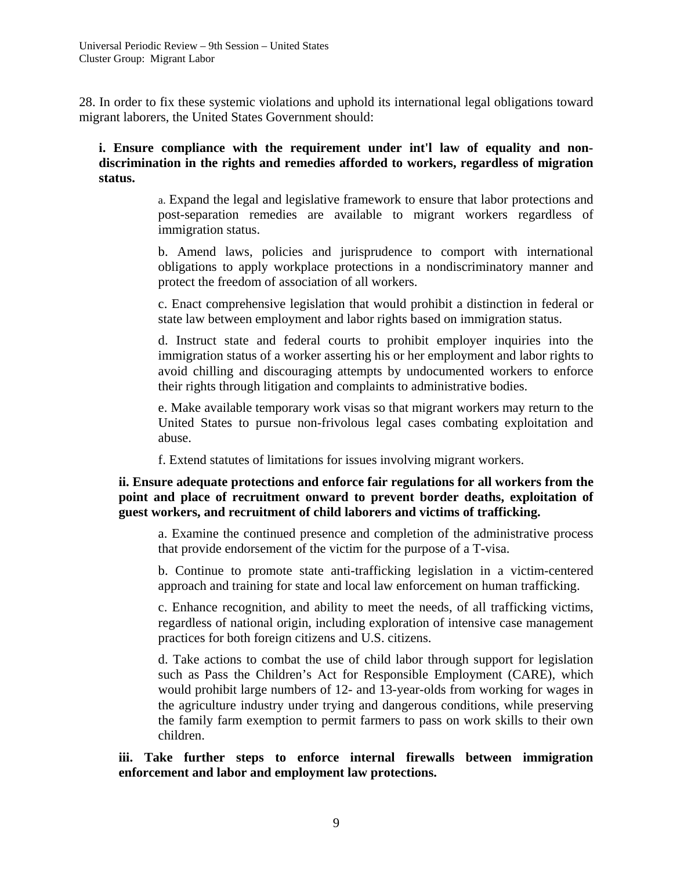28. In order to fix these systemic violations and uphold its international legal obligations toward migrant laborers, the United States Government should:

# **i. Ensure compliance with the requirement under int'l law of equality and nondiscrimination in the rights and remedies afforded to workers, regardless of migration status.**

a. Expand the legal and legislative framework to ensure that labor protections and post-separation remedies are available to migrant workers regardless of immigration status.

b. Amend laws, policies and jurisprudence to comport with international obligations to apply workplace protections in a nondiscriminatory manner and protect the freedom of association of all workers.

c. Enact comprehensive legislation that would prohibit a distinction in federal or state law between employment and labor rights based on immigration status.

d. Instruct state and federal courts to prohibit employer inquiries into the immigration status of a worker asserting his or her employment and labor rights to avoid chilling and discouraging attempts by undocumented workers to enforce their rights through litigation and complaints to administrative bodies.

e. Make available temporary work visas so that migrant workers may return to the United States to pursue non-frivolous legal cases combating exploitation and abuse.

f. Extend statutes of limitations for issues involving migrant workers.

#### **ii. Ensure adequate protections and enforce fair regulations for all workers from the point and place of recruitment onward to prevent border deaths, exploitation of guest workers, and recruitment of child laborers and victims of trafficking.**

a. Examine the continued presence and completion of the administrative process that provide endorsement of the victim for the purpose of a T-visa.

b. Continue to promote state anti-trafficking legislation in a victim-centered approach and training for state and local law enforcement on human trafficking.

c. Enhance recognition, and ability to meet the needs, of all trafficking victims, regardless of national origin, including exploration of intensive case management practices for both foreign citizens and U.S. citizens.

d. Take actions to combat the use of child labor through support for legislation such as Pass the Children's Act for Responsible Employment (CARE), which would prohibit large numbers of 12- and 13-year-olds from working for wages in the agriculture industry under trying and dangerous conditions, while preserving the family farm exemption to permit farmers to pass on work skills to their own children.

**iii. Take further steps to enforce internal firewalls between immigration enforcement and labor and employment law protections.**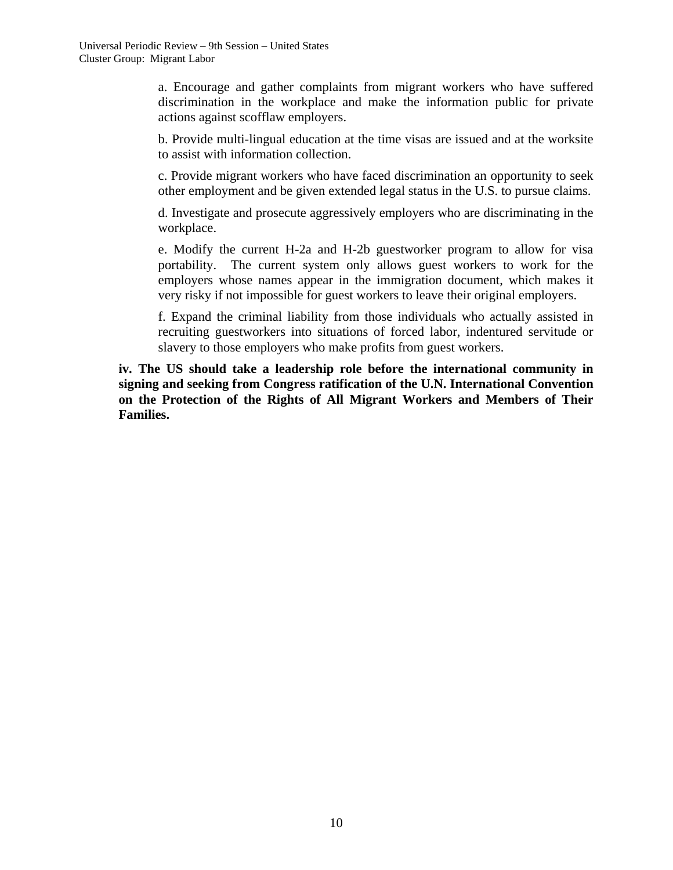a. Encourage and gather complaints from migrant workers who have suffered discrimination in the workplace and make the information public for private actions against scofflaw employers.

b. Provide multi-lingual education at the time visas are issued and at the worksite to assist with information collection.

c. Provide migrant workers who have faced discrimination an opportunity to seek other employment and be given extended legal status in the U.S. to pursue claims.

d. Investigate and prosecute aggressively employers who are discriminating in the workplace.

e. Modify the current H-2a and H-2b guestworker program to allow for visa portability. The current system only allows guest workers to work for the employers whose names appear in the immigration document, which makes it very risky if not impossible for guest workers to leave their original employers.

f. Expand the criminal liability from those individuals who actually assisted in recruiting guestworkers into situations of forced labor, indentured servitude or slavery to those employers who make profits from guest workers.

**iv. The US should take a leadership role before the international community in signing and seeking from Congress ratification of the U.N. International Convention on the Protection of the Rights of All Migrant Workers and Members of Their Families.**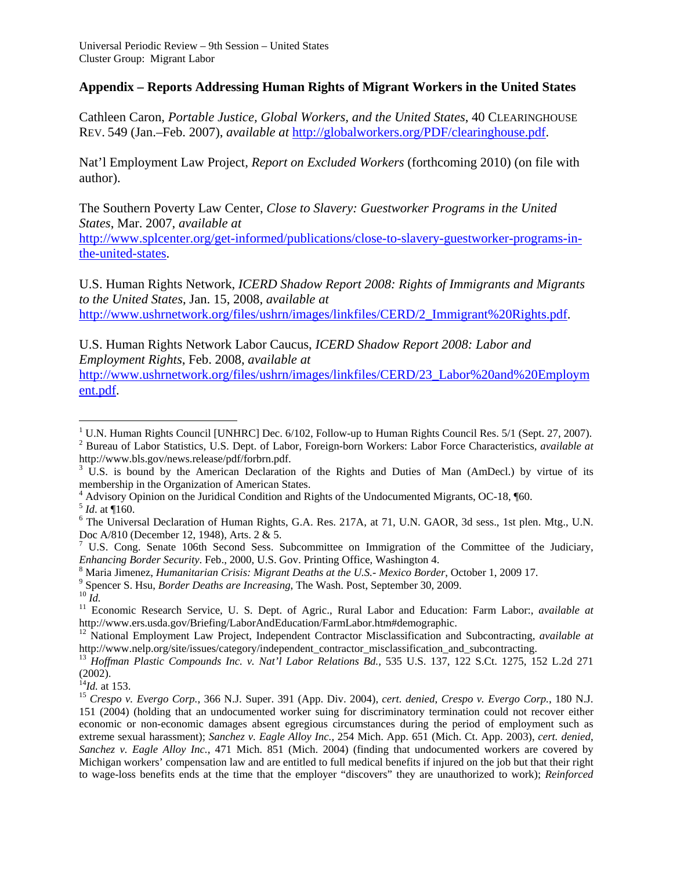#### <span id="page-11-1"></span>**Appendix – Reports Addressing Human Rights of Migrant Workers in the United States**

Cathleen Caron, *Portable Justice, Global Workers, and the United States*, 40 CLEARINGHOUSE REV. 549 (Jan.–Feb. 2007), *available at* [http://globalworkers.org/PDF/clearinghouse.pdf.](http://globalworkers.org/PDF/clearinghouse.pdf)

Nat'l Employment Law Project, *Report on Excluded Workers* (forthcoming 2010) (on file with author).

The Southern Poverty Law Center, *Close to Slavery: Guestworker Programs in the United States*, Mar. 2007, *available at*

[http://www.splcenter.org/get-informed/publications/close-to-slavery-guestworker-programs-in](https://mail.law.upenn.edu/owa/redir.aspx?C=683e023b2d9742f8a7e69352a5f127d1&URL=http%3a%2f%2fwww.splcenter.org%2fget-informed%2fpublications%2fclose-to-slavery-guestworker-programs-in-the-united-states)[the-united-states](https://mail.law.upenn.edu/owa/redir.aspx?C=683e023b2d9742f8a7e69352a5f127d1&URL=http%3a%2f%2fwww.splcenter.org%2fget-informed%2fpublications%2fclose-to-slavery-guestworker-programs-in-the-united-states).

U.S. Human Rights Network, *ICERD Shadow Report 2008: Rights of Immigrants and Migrants to the United States*, Jan. 15, 2008, *available at*  [http://www.ushrnetwork.org/files/ushrn/images/linkfiles/CERD/2\\_Immigrant%20Rights.pdf](http://www.ushrnetwork.org/files/ushrn/images/linkfiles/CERD/2_Immigrant%20Rights.pdf).

U.S. Human Rights Network Labor Caucus, *ICERD Shadow Report 2008: Labor and Employment Rights*, Feb. 2008, *available at* 

[http://www.ushrnetwork.org/files/ushrn/images/linkfiles/CERD/23\\_Labor%20and%20Employm](http://www.ushrnetwork.org/files/ushrn/images/linkfiles/CERD/23_Labor%20and%20Employment.pdf) [ent.pdf.](http://www.ushrnetwork.org/files/ushrn/images/linkfiles/CERD/23_Labor%20and%20Employment.pdf)

 $^4$  Advisory Opinion on the Juridical Condition and Rights of the Undocumented Migrants, OC-18, ¶60.

 $\overline{a}$ <sup>1</sup> U.N. Human Rights Council [UNHRC] Dec. 6/102, Follow-up to Human Rights Council Res. 5/1 (Sept. 27, 2007).

<span id="page-11-0"></span><sup>2</sup> Bureau of Labor Statistics, U.S. Dept. of Labor, Foreign-born Workers: Labor Force Characteristics, *available at*  http://www.bls.gov/news.release/pdf/forbrn.pdf.

 $3 \text{ U.S.}$  is bound by the American Declaration of the Rights and Duties of Man (AmDecl.) by virtue of its membership in the Organization of American States. 4

 $<sup>5</sup>$  *Id.* at ¶160.</sup>

 $6$  The Universal Declaration of Human Rights, G.A. Res. 217A, at 71, U.N. GAOR, 3d sess., 1st plen. Mtg., U.N. Doc A/810 (December 12, 1948), Arts. 2 & 5.

<sup>&</sup>lt;sup>7</sup> U.S. Cong. Senate 106th Second Sess. Subcommittee on Immigration of the Committee of the Judiciary, *Enhancing Border Security*. Feb., 2000, U.S. Gov. Printing Office, Washington 4. 8

<sup>&</sup>lt;sup>8</sup> Maria Jimenez, *Humanitarian Crisis: Migrant Deaths at the U.S.- Mexico Border*, October 1, 2009 17.<br><sup>9</sup> Spencer S. Hsu, *Border Deaths are Increasing*, The Wash. Post, September 30, 2009.

Spencer S. Hsu, *Border Deaths are Increasing*, The Wash. Post, September 30, 2009. 10 *Id.* 11 Economic Research Service, U. S. Dept. of Agric., Rural Labor and Education: Farm Labor:, *available at* http://www.ers.usda.gov/Briefing/LaborAndEducation/FarmLabor.htm#demographic.

<sup>&</sup>lt;sup>12</sup> National Employment Law Project, Independent Contractor Misclassification and Subcontracting, *available at* http://www.nelp.org/site/issues/category/independent\_contractor\_misclassification\_and\_subcontracting. 13 *Hoffman Plastic Compounds Inc. v. Nat'l Labor Relations Bd.,* 535 U.S. 137, 122 S.Ct. 1275, 152 L.2d 271

 $(2002)$ .<br><sup>14</sup>*Id.* at 153.

<sup>&</sup>lt;sup>15</sup> *Crespo v. Evergo Corp.*, 366 N.J. Super. 391 (App. Div. 2004), *cert. denied, Crespo v. Evergo Corp.*, 180 N.J. 151 (2004) (holding that an undocumented worker suing for discriminatory termination could not recover either economic or non-economic damages absent egregious circumstances during the period of employment such as extreme sexual harassment); *Sanchez v. Eagle Alloy Inc.*, 254 Mich. App. 651 (Mich. Ct. App. 2003), *cert. denied*, *Sanchez v. Eagle Alloy Inc.*, 471 Mich. 851 (Mich. 2004) (finding that undocumented workers are covered by Michigan workers' compensation law and are entitled to full medical benefits if injured on the job but that their right to wage-loss benefits ends at the time that the employer "discovers" they are unauthorized to work); *Reinforced*